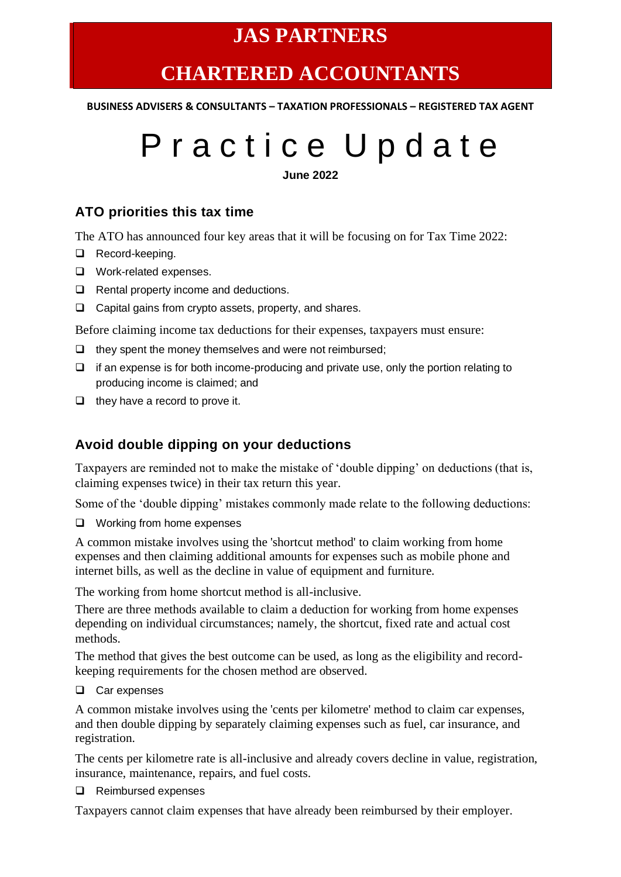### **JAS PARTNERS**

## **CHARTERED ACCOUNTANTS**

**BUSINESS ADVISERS & CONSULTANTS – TAXATION PROFESSIONALS – REGISTERED TAX AGENT**

# P r a c t i c e U p d a t e

**June 2022**

#### **ATO priorities this tax time**

The ATO has announced four key areas that it will be focusing on for Tax Time 2022:

- ❑ Record-keeping.
- ❑ Work-related expenses.
- ❑ Rental property income and deductions.
- ❑ Capital gains from crypto assets, property, and shares.

Before claiming income tax deductions for their expenses, taxpayers must ensure:

- ❑ they spent the money themselves and were not reimbursed;
- ❑ if an expense is for both income-producing and private use, only the portion relating to producing income is claimed; and
- ❑ they have a record to prove it.

#### **Avoid double dipping on your deductions**

Taxpayers are reminded not to make the mistake of 'double dipping' on deductions (that is, claiming expenses twice) in their tax return this year.

Some of the 'double dipping' mistakes commonly made relate to the following deductions:

❑ Working from home expenses

A common mistake involves using the 'shortcut method' to claim working from home expenses and then claiming additional amounts for expenses such as mobile phone and internet bills, as well as the decline in value of equipment and furniture.

The working from home shortcut method is all-inclusive.

There are three methods available to claim a deduction for working from home expenses depending on individual circumstances; namely, the shortcut, fixed rate and actual cost methods.

The method that gives the best outcome can be used, as long as the eligibility and recordkeeping requirements for the chosen method are observed.

❑ Car expenses

A common mistake involves using the 'cents per kilometre' method to claim car expenses, and then double dipping by separately claiming expenses such as fuel, car insurance, and registration.

The cents per kilometre rate is all-inclusive and already covers decline in value, registration, insurance, maintenance, repairs, and fuel costs.

❑ Reimbursed expenses

Taxpayers cannot claim expenses that have already been reimbursed by their employer.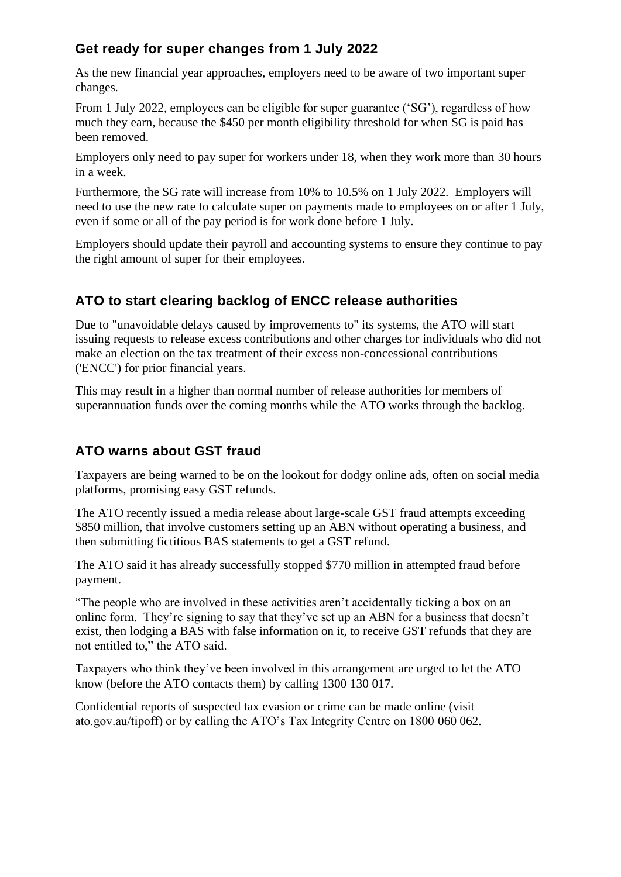#### **Get ready for super changes from 1 July 2022**

As the new financial year approaches, employers need to be aware of two important super changes.

From 1 July 2022, employees can be eligible for super guarantee ('SG'), regardless of how much they earn, because the \$450 per month eligibility threshold for when SG is paid has been removed.

Employers only need to pay super for workers under 18, when they work more than 30 hours in a week.

Furthermore, the SG rate will increase from 10% to 10.5% on 1 July 2022. Employers will need to use the new rate to calculate super on payments made to employees on or after 1 July, even if some or all of the pay period is for work done before 1 July.

Employers should update their payroll and accounting systems to ensure they continue to pay the right amount of super for their employees.

#### **ATO to start clearing backlog of ENCC release authorities**

Due to "unavoidable delays caused by improvements to" its systems, the ATO will start issuing requests to release excess contributions and other charges for individuals who did not make an election on the tax treatment of their excess non-concessional contributions ('ENCC') for prior financial years.

This may result in a higher than normal number of release authorities for members of superannuation funds over the coming months while the ATO works through the backlog.

#### **ATO warns about GST fraud**

Taxpayers are being warned to be on the lookout for dodgy online ads, often on social media platforms, promising easy GST refunds.

The ATO recently issued a media release about large-scale GST fraud attempts exceeding \$850 million, that involve customers setting up an ABN without operating a business, and then submitting fictitious BAS statements to get a GST refund.

The ATO said it has already successfully stopped \$770 million in attempted fraud before payment.

"The people who are involved in these activities aren't accidentally ticking a box on an online form. They're signing to say that they've set up an ABN for a business that doesn't exist, then lodging a BAS with false information on it, to receive GST refunds that they are not entitled to," the ATO said.

Taxpayers who think they've been involved in this arrangement are urged to let the ATO know (before the ATO contacts them) by calling 1300 130 017.

Confidential reports of suspected tax evasion or crime can be made online (visit ato.gov.au/tipoff) or by calling the ATO's Tax Integrity Centre on 1800 060 062.